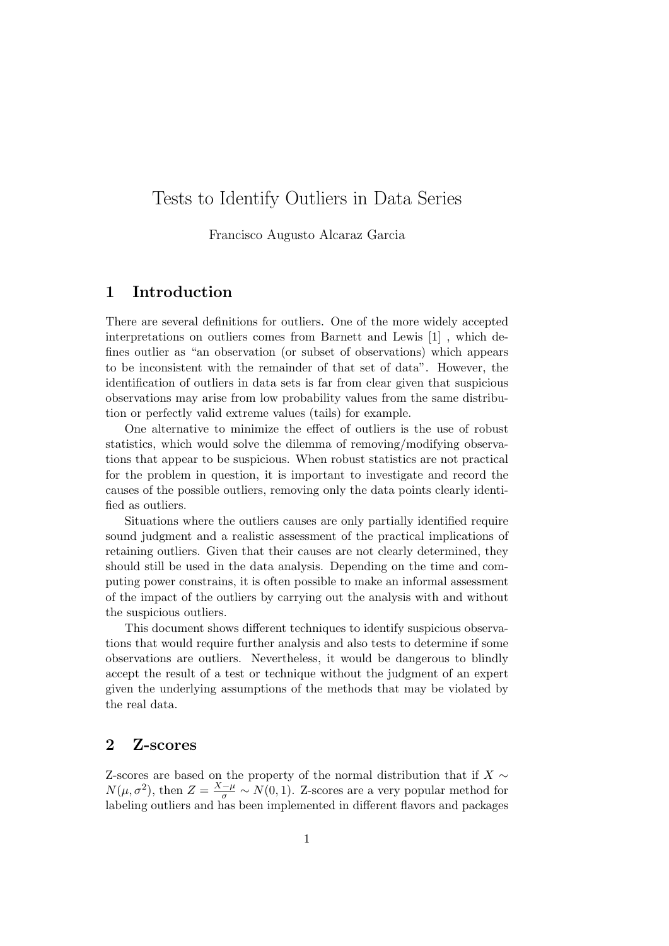# Tests to Identify Outliers in Data Series

Francisco Augusto Alcaraz Garcia

# 1 Introduction

There are several definitions for outliers. One of the more widely accepted interpretations on outliers comes from Barnett and Lewis [1] , which defines outlier as "an observation (or subset of observations) which appears to be inconsistent with the remainder of that set of data". However, the identification of outliers in data sets is far from clear given that suspicious observations may arise from low probability values from the same distribution or perfectly valid extreme values (tails) for example.

One alternative to minimize the effect of outliers is the use of robust statistics, which would solve the dilemma of removing/modifying observations that appear to be suspicious. When robust statistics are not practical for the problem in question, it is important to investigate and record the causes of the possible outliers, removing only the data points clearly identified as outliers.

Situations where the outliers causes are only partially identified require sound judgment and a realistic assessment of the practical implications of retaining outliers. Given that their causes are not clearly determined, they should still be used in the data analysis. Depending on the time and computing power constrains, it is often possible to make an informal assessment of the impact of the outliers by carrying out the analysis with and without the suspicious outliers.

This document shows different techniques to identify suspicious observations that would require further analysis and also tests to determine if some observations are outliers. Nevertheless, it would be dangerous to blindly accept the result of a test or technique without the judgment of an expert given the underlying assumptions of the methods that may be violated by the real data.

#### 2 Z-scores

Z-scores are based on the property of the normal distribution that if  $X \sim$  $N(\mu, \sigma^2)$ , then  $Z = \frac{X-\mu}{\sigma} \sim N(0, 1)$ . Z-scores are a very popular method for labeling outliers and has been implemented in different flavors and packages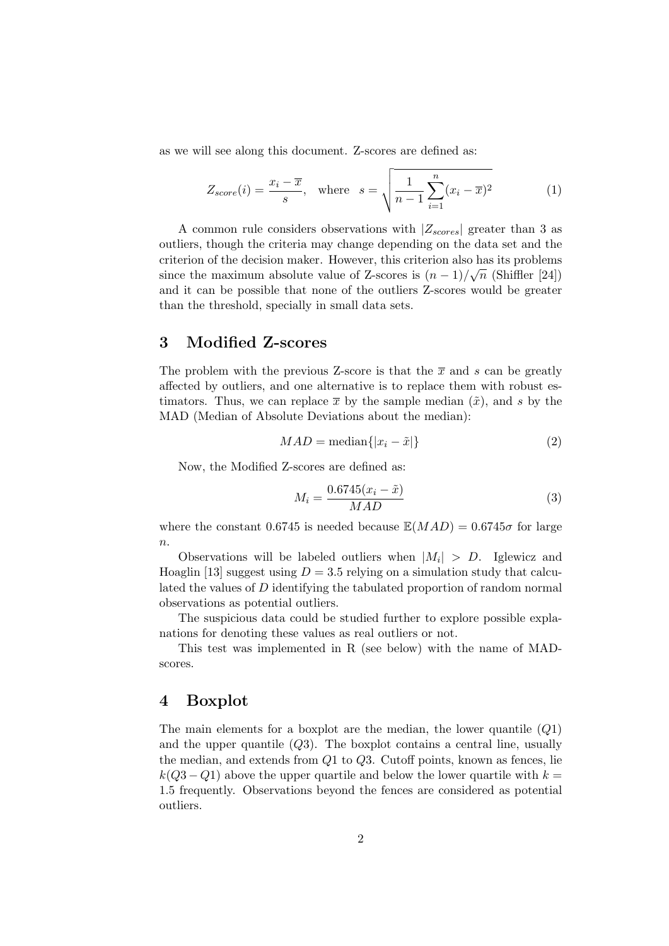as we will see along this document. Z-scores are defined as:

$$
Z_{score}(i) = \frac{x_i - \overline{x}}{s}, \quad \text{where} \quad s = \sqrt{\frac{1}{n-1} \sum_{i=1}^{n} (x_i - \overline{x})^2}
$$
 (1)

A common rule considers observations with  $|Z_{scores}|$  greater than 3 as outliers, though the criteria may change depending on the data set and the criterion of the decision maker. However, this criterion also has its problems since the maximum absolute value of Z-scores is  $(n-1)/\sqrt{n}$  (Shiffler [24]) and it can be possible that none of the outliers Z-scores would be greater than the threshold, specially in small data sets.

#### 3 Modified Z-scores

The problem with the previous Z-score is that the  $\bar{x}$  and s can be greatly affected by outliers, and one alternative is to replace them with robust estimators. Thus, we can replace  $\bar{x}$  by the sample median  $(\tilde{x})$ , and s by the MAD (Median of Absolute Deviations about the median):

$$
MAD = \text{median}\{|x_i - \tilde{x}|\}\tag{2}
$$

Now, the Modified Z-scores are defined as:

$$
M_i = \frac{0.6745(x_i - \tilde{x})}{MAD}
$$
\n
$$
(3)
$$

where the constant 0.6745 is needed because  $\mathbb{E}(MAD) = 0.6745\sigma$  for large  $\overline{n}$ .

Observations will be labeled outliers when  $|M_i| > D$ . Iglewicz and Hoaglin [13] suggest using  $D = 3.5$  relying on a simulation study that calculated the values of D identifying the tabulated proportion of random normal observations as potential outliers.

The suspicious data could be studied further to explore possible explanations for denoting these values as real outliers or not.

This test was implemented in R (see below) with the name of MADscores.

#### 4 Boxplot

The main elements for a boxplot are the median, the lower quantile  $(Q1)$ and the upper quantile  $(Q3)$ . The boxplot contains a central line, usually the median, and extends from Q1 to Q3. Cutoff points, known as fences, lie  $k(Q3 - Q1)$  above the upper quartile and below the lower quartile with  $k =$ 1.5 frequently. Observations beyond the fences are considered as potential outliers.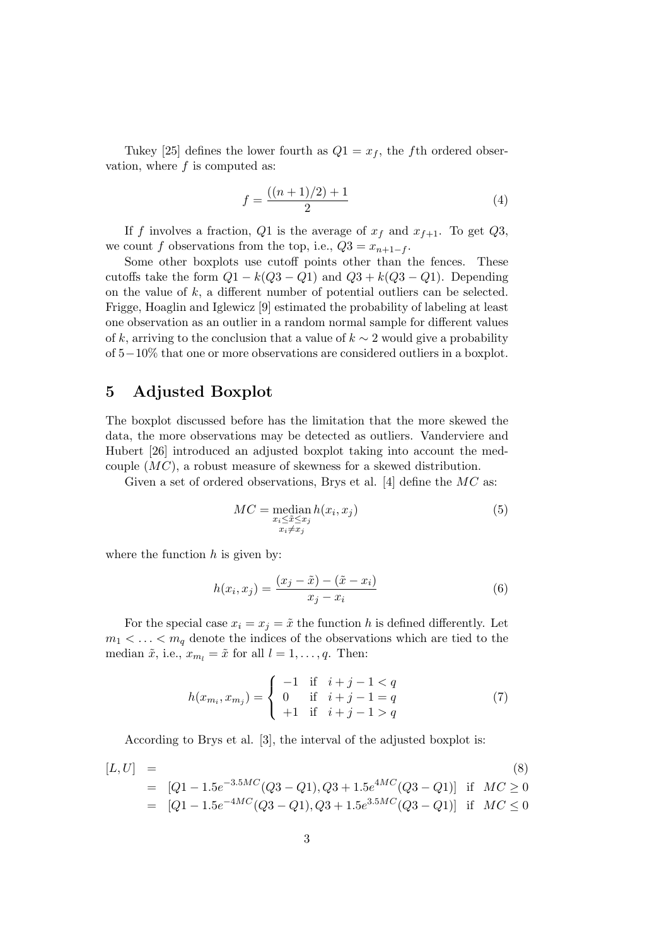Tukey [25] defines the lower fourth as  $Q_1 = x_f$ , the fth ordered observation, where  $f$  is computed as:

$$
f = \frac{((n+1)/2) + 1}{2} \tag{4}
$$

If f involves a fraction, Q1 is the average of  $x_f$  and  $x_{f+1}$ . To get Q3, we count f observations from the top, i.e.,  $Q3 = x_{n+1-f}$ .

Some other boxplots use cutoff points other than the fences. These cutoffs take the form  $Q1 - k(Q3 - Q1)$  and  $Q3 + k(Q3 - Q1)$ . Depending on the value of  $k$ , a different number of potential outliers can be selected. Frigge, Hoaglin and Iglewicz [9] estimated the probability of labeling at least one observation as an outlier in a random normal sample for different values of k, arriving to the conclusion that a value of  $k \sim 2$  would give a probability of 5−10% that one or more observations are considered outliers in a boxplot.

### 5 Adjusted Boxplot

The boxplot discussed before has the limitation that the more skewed the data, the more observations may be detected as outliers. Vanderviere and Hubert [26] introduced an adjusted boxplot taking into account the medcouple (MC), a robust measure of skewness for a skewed distribution.

Given a set of ordered observations, Brys et al. [4] define the  $MC$  as:

$$
MC = \underset{\substack{x_i \le \tilde{x} \le x_j \\ x_i \ne x_j}}{\text{median } h(x_i, x_j)} \tag{5}
$$

where the function  $h$  is given by:

$$
h(x_i, x_j) = \frac{(x_j - \tilde{x}) - (\tilde{x} - x_i)}{x_j - x_i}
$$
 (6)

For the special case  $x_i = x_j = \tilde{x}$  the function h is defined differently. Let  $m_1 < \ldots < m_q$  denote the indices of the observations which are tied to the median  $\tilde{x}$ , i.e.,  $x_{m_l} = \tilde{x}$  for all  $l = 1, \ldots, q$ . Then:

$$
h(x_{m_i}, x_{m_j}) = \begin{cases} -1 & \text{if } i+j-1 < q \\ 0 & \text{if } i+j-1 = q \\ +1 & \text{if } i+j-1 > q \end{cases}
$$
 (7)

According to Brys et al. [3], the interval of the adjusted boxplot is:

$$
[L, U] = \n\begin{aligned}\n& [2.5] \text{ [S]} \quad & = [Q1 - 1.5e^{-3.5MC}(Q3 - Q1), Q3 + 1.5e^{4MC}(Q3 - Q1)] \quad \text{if} \quad M C \geq 0 \\
& = [Q1 - 1.5e^{-4MC}(Q3 - Q1), Q3 + 1.5e^{3.5MC}(Q3 - Q1)] \quad \text{if} \quad M C \leq 0\n\end{aligned}
$$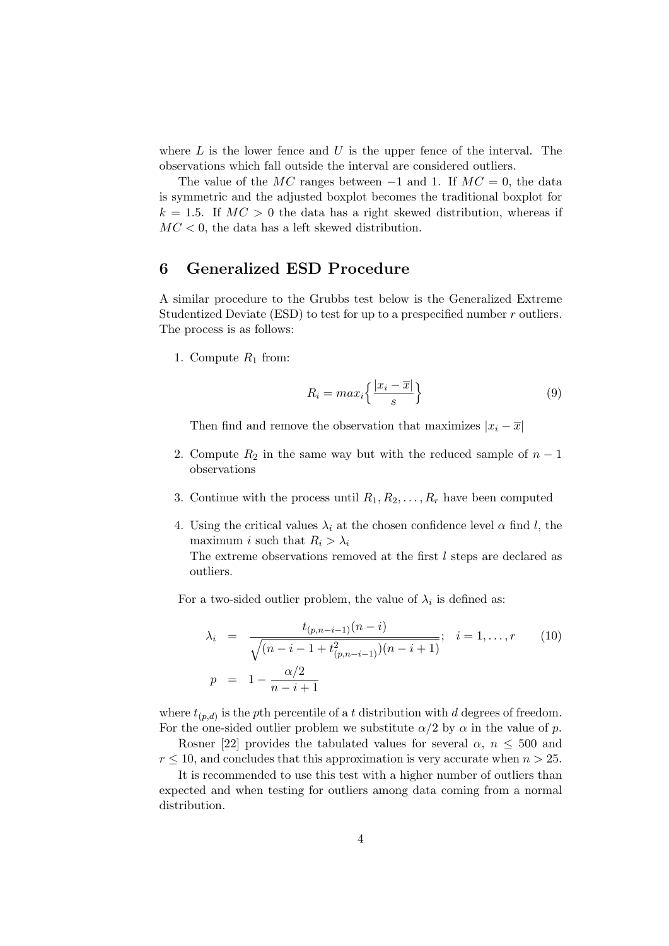where  $L$  is the lower fence and  $U$  is the upper fence of the interval. The observations which fall outside the interval are considered outliers.

The value of the MC ranges between  $-1$  and 1. If  $MC = 0$ , the data is symmetric and the adjusted boxplot becomes the traditional boxplot for  $k = 1.5$ . If  $MC > 0$  the data has a right skewed distribution, whereas if  $MC < 0$ , the data has a left skewed distribution.

#### 6 Generalized ESD Procedure

A similar procedure to the Grubbs test below is the Generalized Extreme Studentized Deviate (ESD) to test for up to a prespecified number r outliers. The process is as follows:

1. Compute  $R_1$  from:

$$
R_i = max_i \left\{ \frac{|x_i - \overline{x}|}{s} \right\}
$$
 (9)

Then find and remove the observation that maximizes  $|x_i - \overline{x}|$ 

- 2. Compute  $R_2$  in the same way but with the reduced sample of  $n-1$ observations
- 3. Continue with the process until  $R_1, R_2, \ldots, R_r$  have been computed
- 4. Using the critical values  $\lambda_i$  at the chosen confidence level  $\alpha$  find l, the maximum *i* such that  $R_i > \lambda_i$

The extreme observations removed at the first l steps are declared as outliers.

For a two-sided outlier problem, the value of  $\lambda_i$  is defined as:

$$
\lambda_i = \frac{t_{(p,n-i-1)}(n-i)}{\sqrt{(n-i-1+t_{(p,n-i-1)}^2)(n-i+1)}}; \quad i = 1,\dots,r \qquad (10)
$$
\n
$$
p = 1 - \frac{\alpha/2}{n-i+1}
$$

where  $t_{(p,d)}$  is the pth percentile of a t distribution with d degrees of freedom. For the one-sided outlier problem we substitute  $\alpha/2$  by  $\alpha$  in the value of p.

Rosner [22] provides the tabulated values for several  $\alpha$ ,  $n \leq 500$  and  $r \leq 10$ , and concludes that this approximation is very accurate when  $n > 25$ .

It is recommended to use this test with a higher number of outliers than expected and when testing for outliers among data coming from a normal distribution.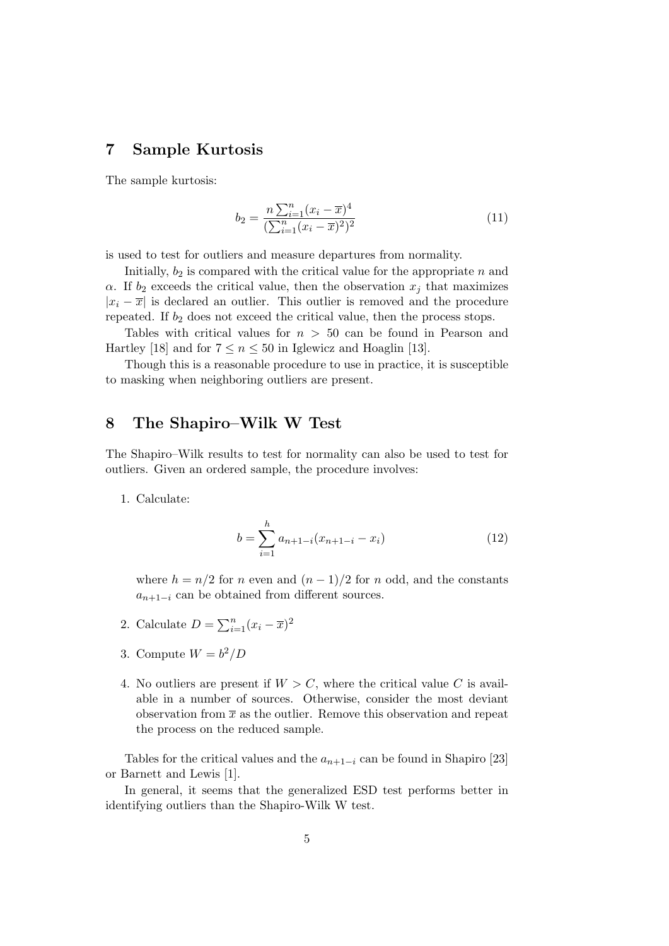# 7 Sample Kurtosis

The sample kurtosis:

$$
b_2 = \frac{n \sum_{i=1}^n (x_i - \overline{x})^4}{(\sum_{i=1}^n (x_i - \overline{x})^2)^2}
$$
(11)

is used to test for outliers and measure departures from normality.

Initially,  $b_2$  is compared with the critical value for the appropriate n and  $\alpha$ . If  $b_2$  exceeds the critical value, then the observation  $x_j$  that maximizes  $|x_i - \overline{x}|$  is declared an outlier. This outlier is removed and the procedure repeated. If  $b_2$  does not exceed the critical value, then the process stops.

Tables with critical values for  $n > 50$  can be found in Pearson and Hartley [18] and for  $7 \le n \le 50$  in Iglewicz and Hoaglin [13].

Though this is a reasonable procedure to use in practice, it is susceptible to masking when neighboring outliers are present.

### 8 The Shapiro–Wilk W Test

The Shapiro–Wilk results to test for normality can also be used to test for outliers. Given an ordered sample, the procedure involves:

1. Calculate:

$$
b = \sum_{i=1}^{h} a_{n+1-i} (x_{n+1-i} - x_i)
$$
 (12)

where  $h = n/2$  for n even and  $(n - 1)/2$  for n odd, and the constants  $a_{n+1-i}$  can be obtained from different sources.

- 2. Calculate  $D = \sum_{i=1}^{n} (x_i \overline{x})^2$
- 3. Compute  $W = b^2/D$
- 4. No outliers are present if  $W > C$ , where the critical value C is available in a number of sources. Otherwise, consider the most deviant observation from  $\bar{x}$  as the outlier. Remove this observation and repeat the process on the reduced sample.

Tables for the critical values and the  $a_{n+1-i}$  can be found in Shapiro [23] or Barnett and Lewis [1].

In general, it seems that the generalized ESD test performs better in identifying outliers than the Shapiro-Wilk W test.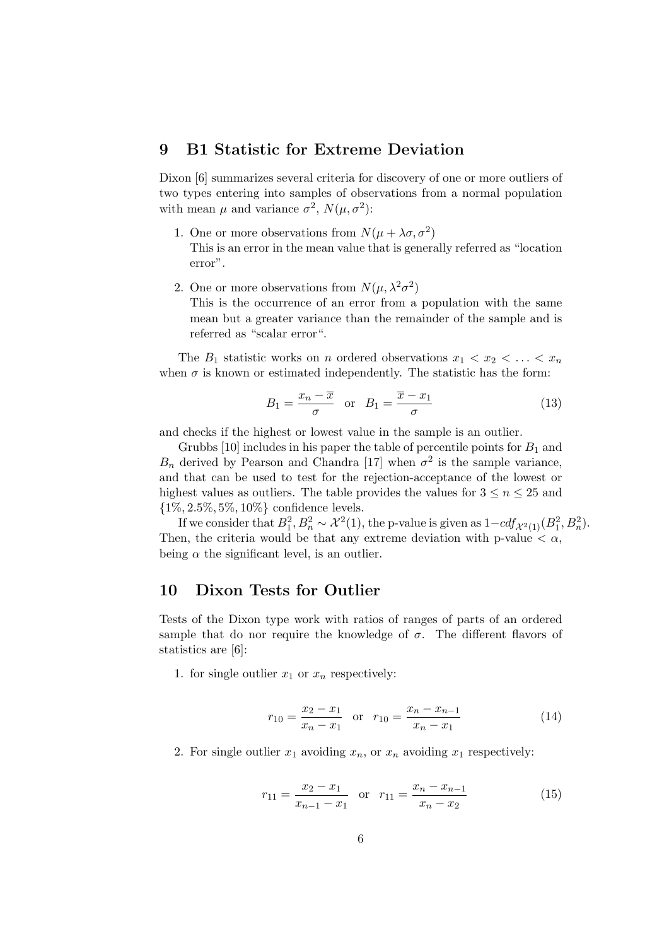#### 9 B1 Statistic for Extreme Deviation

Dixon [6] summarizes several criteria for discovery of one or more outliers of two types entering into samples of observations from a normal population with mean  $\mu$  and variance  $\sigma^2$ ,  $N(\mu, \sigma^2)$ :

- 1. One or more observations from  $N(\mu + \lambda \sigma, \sigma^2)$ This is an error in the mean value that is generally referred as "location error".
- 2. One or more observations from  $N(\mu, \lambda^2 \sigma^2)$

This is the occurrence of an error from a population with the same mean but a greater variance than the remainder of the sample and is referred as "scalar error".

The  $B_1$  statistic works on n ordered observations  $x_1 < x_2 < \ldots < x_n$ when  $\sigma$  is known or estimated independently. The statistic has the form:

$$
B_1 = \frac{x_n - \overline{x}}{\sigma} \quad \text{or} \quad B_1 = \frac{\overline{x} - x_1}{\sigma} \tag{13}
$$

and checks if the highest or lowest value in the sample is an outlier.

Grubbs  $[10]$  includes in his paper the table of percentile points for  $B_1$  and  $B_n$  derived by Pearson and Chandra [17] when  $\sigma^2$  is the sample variance, and that can be used to test for the rejection-acceptance of the lowest or highest values as outliers. The table provides the values for  $3 \leq n \leq 25$  and  $\{1\%, 2.5\%, 5\%, 10\%\}$  confidence levels.

If we consider that  $B_1^2, B_n^2 \sim \mathcal{X}^2(1)$ , the p-value is given as  $1 - cdf_{\mathcal{X}^2(1)}(B_1^2, B_n^2)$ . Then, the criteria would be that any extreme deviation with p-value  $\langle \alpha, \beta \rangle$ being  $\alpha$  the significant level, is an outlier.

#### 10 Dixon Tests for Outlier

Tests of the Dixon type work with ratios of ranges of parts of an ordered sample that do nor require the knowledge of  $\sigma$ . The different flavors of statistics are [6]:

1. for single outlier  $x_1$  or  $x_n$  respectively:

$$
r_{10} = \frac{x_2 - x_1}{x_n - x_1} \quad \text{or} \quad r_{10} = \frac{x_n - x_{n-1}}{x_n - x_1} \tag{14}
$$

2. For single outlier  $x_1$  avoiding  $x_n$ , or  $x_n$  avoiding  $x_1$  respectively:

$$
r_{11} = \frac{x_2 - x_1}{x_{n-1} - x_1} \quad \text{or} \quad r_{11} = \frac{x_n - x_{n-1}}{x_n - x_2} \tag{15}
$$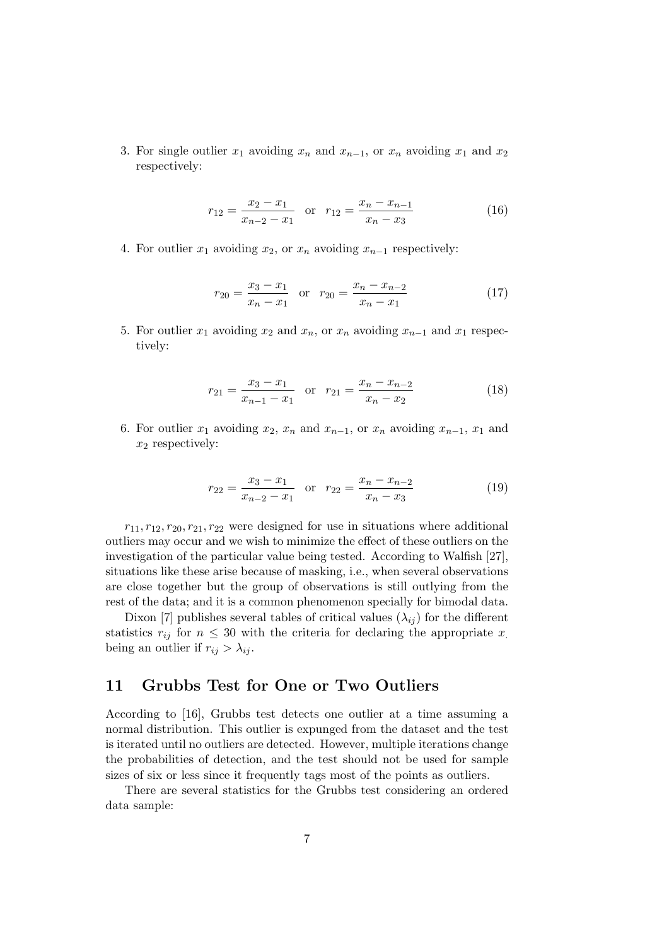3. For single outlier  $x_1$  avoiding  $x_n$  and  $x_{n-1}$ , or  $x_n$  avoiding  $x_1$  and  $x_2$ respectively:

$$
r_{12} = \frac{x_2 - x_1}{x_{n-2} - x_1} \quad \text{or} \quad r_{12} = \frac{x_n - x_{n-1}}{x_n - x_3} \tag{16}
$$

4. For outlier  $x_1$  avoiding  $x_2$ , or  $x_n$  avoiding  $x_{n-1}$  respectively:

$$
r_{20} = \frac{x_3 - x_1}{x_n - x_1} \quad \text{or} \quad r_{20} = \frac{x_n - x_{n-2}}{x_n - x_1} \tag{17}
$$

5. For outlier  $x_1$  avoiding  $x_2$  and  $x_n$ , or  $x_n$  avoiding  $x_{n-1}$  and  $x_1$  respectively:

$$
r_{21} = \frac{x_3 - x_1}{x_{n-1} - x_1} \quad \text{or} \quad r_{21} = \frac{x_n - x_{n-2}}{x_n - x_2} \tag{18}
$$

6. For outlier  $x_1$  avoiding  $x_2$ ,  $x_n$  and  $x_{n-1}$ , or  $x_n$  avoiding  $x_{n-1}$ ,  $x_1$  and  $x_2$  respectively:

$$
r_{22} = \frac{x_3 - x_1}{x_{n-2} - x_1} \quad \text{or} \quad r_{22} = \frac{x_n - x_{n-2}}{x_n - x_3} \tag{19}
$$

 $r_{11}, r_{12}, r_{20}, r_{21}, r_{22}$  were designed for use in situations where additional outliers may occur and we wish to minimize the effect of these outliers on the investigation of the particular value being tested. According to Walfish [27], situations like these arise because of masking, i.e., when several observations are close together but the group of observations is still outlying from the rest of the data; and it is a common phenomenon specially for bimodal data.

Dixon [7] publishes several tables of critical values  $(\lambda_{ij})$  for the different statistics  $r_{ij}$  for  $n \leq 30$  with the criteria for declaring the appropriate x. being an outlier if  $r_{ij} > \lambda_{ij}$ .

# 11 Grubbs Test for One or Two Outliers

According to [16], Grubbs test detects one outlier at a time assuming a normal distribution. This outlier is expunged from the dataset and the test is iterated until no outliers are detected. However, multiple iterations change the probabilities of detection, and the test should not be used for sample sizes of six or less since it frequently tags most of the points as outliers.

There are several statistics for the Grubbs test considering an ordered data sample: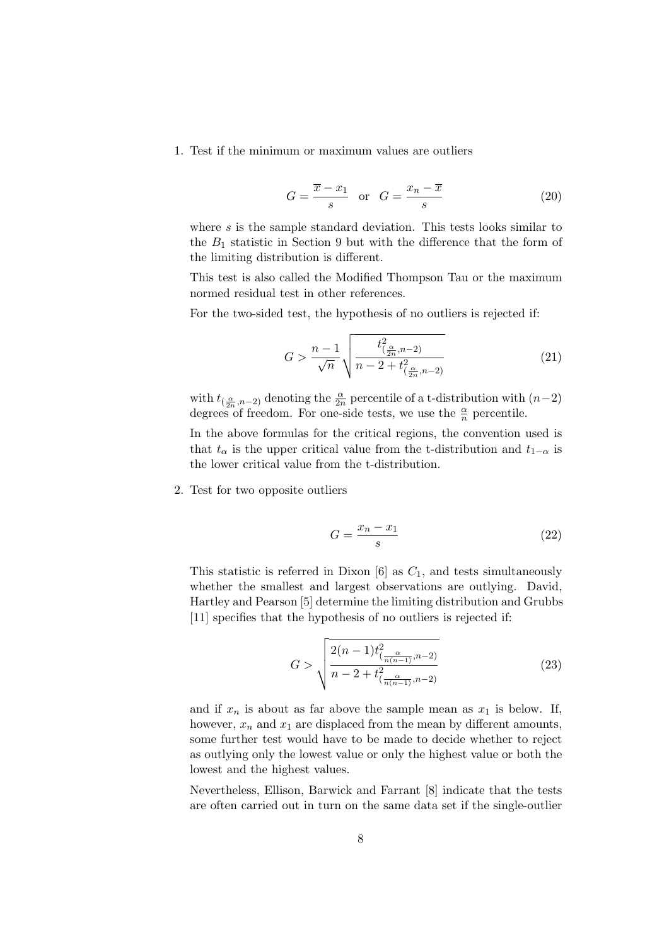1. Test if the minimum or maximum values are outliers

$$
G = \frac{\overline{x} - x_1}{s} \quad \text{or} \quad G = \frac{x_n - \overline{x}}{s} \tag{20}
$$

where  $s$  is the sample standard deviation. This tests looks similar to the  $B_1$  statistic in Section 9 but with the difference that the form of the limiting distribution is different.

This test is also called the Modified Thompson Tau or the maximum normed residual test in other references.

For the two-sided test, the hypothesis of no outliers is rejected if:

$$
G > \frac{n-1}{\sqrt{n}} \sqrt{\frac{t_{(\frac{\alpha}{2n}, n-2)}^2}{n - 2 + t_{(\frac{\alpha}{2n}, n-2)}^2}}
$$
(21)

with  $t_{(\frac{\alpha}{2n},n-2)}$  denoting the  $\frac{\alpha}{2n}$  percentile of a t-distribution with  $(n-2)$ degrees of freedom. For one-side tests, we use the  $\frac{\alpha}{n}$  percentile.

In the above formulas for the critical regions, the convention used is that  $t_{\alpha}$  is the upper critical value from the t-distribution and  $t_{1-\alpha}$  is the lower critical value from the t-distribution.

2. Test for two opposite outliers

$$
G = \frac{x_n - x_1}{s} \tag{22}
$$

This statistic is referred in Dixon [6] as  $C_1$ , and tests simultaneously whether the smallest and largest observations are outlying. David, Hartley and Pearson [5] determine the limiting distribution and Grubbs [11] specifies that the hypothesis of no outliers is rejected if:

$$
G > \sqrt{\frac{2(n-1)t_{(\frac{\alpha}{n(n-1)},n-2)}^2}{n-2+t_{(\frac{\alpha}{n(n-1)},n-2)}^2}}
$$
(23)

and if  $x_n$  is about as far above the sample mean as  $x_1$  is below. If, however,  $x_n$  and  $x_1$  are displaced from the mean by different amounts, some further test would have to be made to decide whether to reject as outlying only the lowest value or only the highest value or both the lowest and the highest values.

Nevertheless, Ellison, Barwick and Farrant [8] indicate that the tests are often carried out in turn on the same data set if the single-outlier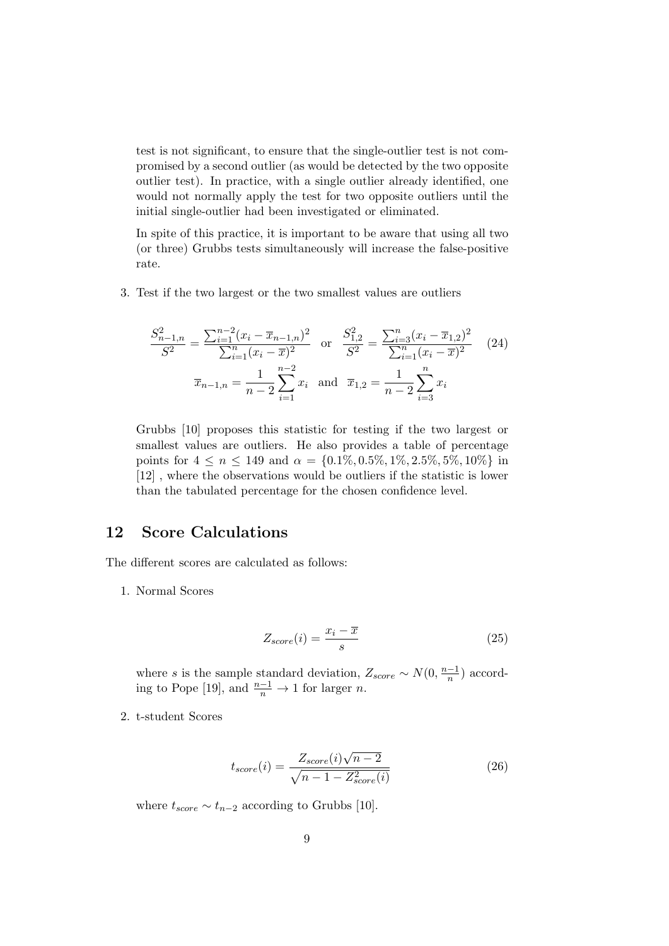test is not significant, to ensure that the single-outlier test is not compromised by a second outlier (as would be detected by the two opposite outlier test). In practice, with a single outlier already identified, one would not normally apply the test for two opposite outliers until the initial single-outlier had been investigated or eliminated.

In spite of this practice, it is important to be aware that using all two (or three) Grubbs tests simultaneously will increase the false-positive rate.

3. Test if the two largest or the two smallest values are outliers

$$
\frac{S_{n-1,n}^2}{S^2} = \frac{\sum_{i=1}^{n-2} (x_i - \overline{x}_{n-1,n})^2}{\sum_{i=1}^n (x_i - \overline{x})^2} \quad \text{or} \quad \frac{S_{1,2}^2}{S^2} = \frac{\sum_{i=3}^n (x_i - \overline{x}_{1,2})^2}{\sum_{i=1}^n (x_i - \overline{x})^2} \tag{24}
$$
\n
$$
\overline{x}_{n-1,n} = \frac{1}{n-2} \sum_{i=1}^{n-2} x_i \quad \text{and} \quad \overline{x}_{1,2} = \frac{1}{n-2} \sum_{i=3}^{n} x_i
$$

Grubbs [10] proposes this statistic for testing if the two largest or smallest values are outliers. He also provides a table of percentage points for  $4 \le n \le 149$  and  $\alpha = \{0.1\%, 0.5\%, 1\%, 2.5\%, 5\%, 10\%\}\$ in [12] , where the observations would be outliers if the statistic is lower than the tabulated percentage for the chosen confidence level.

# 12 Score Calculations

The different scores are calculated as follows:

1. Normal Scores

$$
Z_{score}(i) = \frac{x_i - \overline{x}}{s} \tag{25}
$$

where s is the sample standard deviation,  $Z_{score} \sim N(0, \frac{n-1}{n})$  $\frac{-1}{n}$ ) according to Pope [19], and  $\frac{n-1}{n} \to 1$  for larger *n*.

2. t-student Scores

$$
t_{score}(i) = \frac{Z_{score}(i)\sqrt{n-2}}{\sqrt{n-1-Z_{score}^2(i)}}\tag{26}
$$

where  $t_{score} \sim t_{n-2}$  according to Grubbs [10].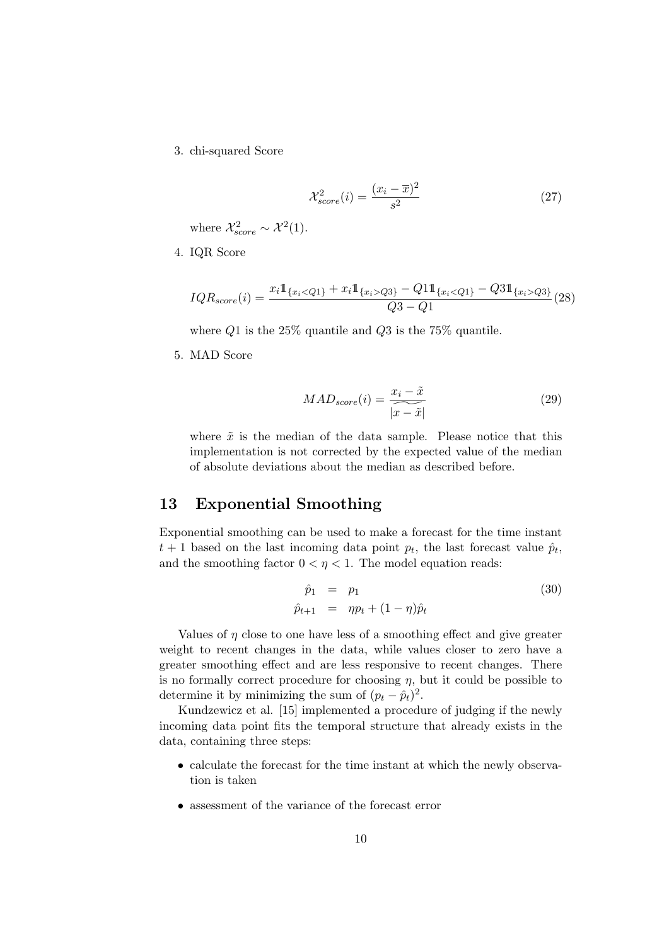3. chi-squared Score

$$
\mathcal{X}_{score}^2(i) = \frac{(x_i - \overline{x})^2}{s^2} \tag{27}
$$

where  $\mathcal{X}_{score}^2 \sim \mathcal{X}^2(1)$ .

4. IQR Score

$$
IQR_{score}(i) = \frac{x_i \mathbb{1}_{\{x_i < Q_1\}} + x_i \mathbb{1}_{\{x_i > Q_3\}} - Q_1 \mathbb{1}_{\{x_i < Q_1\}} - Q_3 \mathbb{1}_{\{x_i > Q_3\}}}{Q_3 - Q_1} \tag{28}
$$

where  $Q1$  is the 25% quantile and  $Q3$  is the 75% quantile.

5. MAD Score

$$
MAD_{score}(i) = \frac{x_i - \tilde{x}}{|\tilde{x} - \tilde{x}|}
$$
\n(29)

where  $\tilde{x}$  is the median of the data sample. Please notice that this implementation is not corrected by the expected value of the median of absolute deviations about the median as described before.

#### 13 Exponential Smoothing

Exponential smoothing can be used to make a forecast for the time instant  $t+1$  based on the last incoming data point  $p_t$ , the last forecast value  $\hat{p}_t$ , and the smoothing factor  $0 < \eta < 1$ . The model equation reads:

$$
\begin{array}{rcl}\n\hat{p}_1 &=& p_1 \\
\hat{p}_{t+1} &=& \eta p_t + (1 - \eta)\hat{p}_t\n\end{array} \tag{30}
$$

Values of  $\eta$  close to one have less of a smoothing effect and give greater weight to recent changes in the data, while values closer to zero have a greater smoothing effect and are less responsive to recent changes. There is no formally correct procedure for choosing  $\eta$ , but it could be possible to determine it by minimizing the sum of  $(p_t - \hat{p}_t)^2$ .

Kundzewicz et al. [15] implemented a procedure of judging if the newly incoming data point fits the temporal structure that already exists in the data, containing three steps:

- calculate the forecast for the time instant at which the newly observation is taken
- assessment of the variance of the forecast error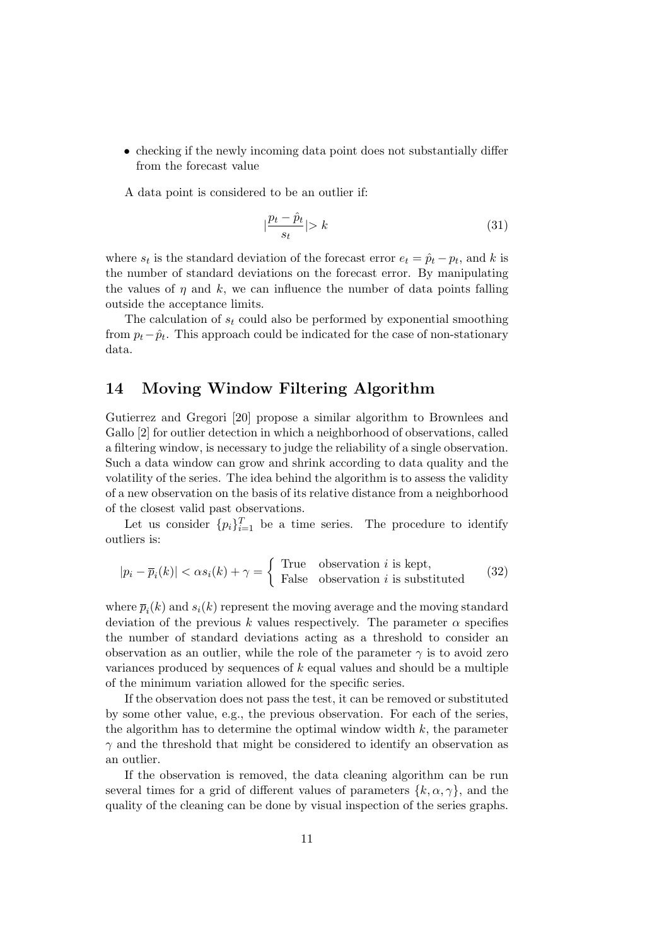• checking if the newly incoming data point does not substantially differ from the forecast value

A data point is considered to be an outlier if:

$$
\left|\frac{p_t - \hat{p}_t}{s_t}\right| > k\tag{31}
$$

where  $s_t$  is the standard deviation of the forecast error  $e_t = \hat{p}_t - p_t$ , and k is the number of standard deviations on the forecast error. By manipulating the values of  $\eta$  and k, we can influence the number of data points falling outside the acceptance limits.

The calculation of  $s_t$  could also be performed by exponential smoothing from  $p_t - \hat{p}_t$ . This approach could be indicated for the case of non-stationary data.

### 14 Moving Window Filtering Algorithm

Gutierrez and Gregori [20] propose a similar algorithm to Brownlees and Gallo [2] for outlier detection in which a neighborhood of observations, called a filtering window, is necessary to judge the reliability of a single observation. Such a data window can grow and shrink according to data quality and the volatility of the series. The idea behind the algorithm is to assess the validity of a new observation on the basis of its relative distance from a neighborhood of the closest valid past observations.

Let us consider  $\{p_i\}_{i=1}^T$  be a time series. The procedure to identify outliers is:

$$
|p_i - \overline{p}_i(k)| < \alpha s_i(k) + \gamma = \begin{cases} \text{True} & \text{observation } i \text{ is kept,} \\ \text{False} & \text{observation } i \text{ is substituted} \end{cases} \tag{32}
$$

where  $\overline{p}_i(k)$  and  $s_i(k)$  represent the moving average and the moving standard deviation of the previous k values respectively. The parameter  $\alpha$  specifies the number of standard deviations acting as a threshold to consider an observation as an outlier, while the role of the parameter  $\gamma$  is to avoid zero variances produced by sequences of  $k$  equal values and should be a multiple of the minimum variation allowed for the specific series.

If the observation does not pass the test, it can be removed or substituted by some other value, e.g., the previous observation. For each of the series, the algorithm has to determine the optimal window width  $k$ , the parameter  $\gamma$  and the threshold that might be considered to identify an observation as an outlier.

If the observation is removed, the data cleaning algorithm can be run several times for a grid of different values of parameters  $\{k, \alpha, \gamma\}$ , and the quality of the cleaning can be done by visual inspection of the series graphs.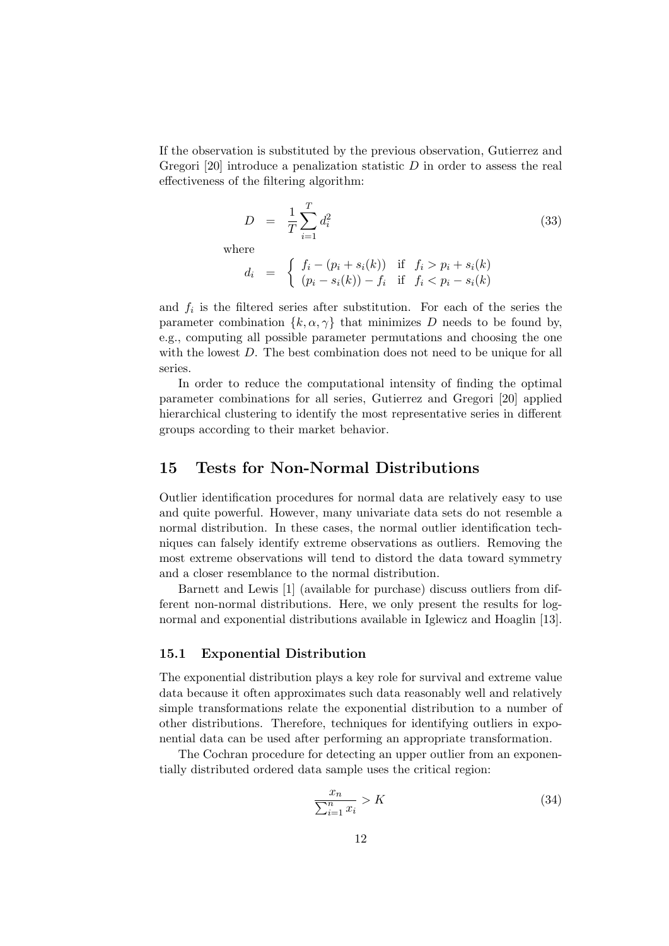If the observation is substituted by the previous observation, Gutierrez and Gregori [20] introduce a penalization statistic  $D$  in order to assess the real effectiveness of the filtering algorithm:

$$
D = \frac{1}{T} \sum_{i=1}^{T} d_i^2 \tag{33}
$$

wh

Here  
\n
$$
d_i = \begin{cases} f_i - (p_i + s_i(k)) & \text{if } f_i > p_i + s_i(k) \\ (p_i - s_i(k)) - f_i & \text{if } f_i < p_i - s_i(k) \end{cases}
$$

and  $f_i$  is the filtered series after substitution. For each of the series the parameter combination  $\{k, \alpha, \gamma\}$  that minimizes D needs to be found by, e.g., computing all possible parameter permutations and choosing the one with the lowest D. The best combination does not need to be unique for all series.

In order to reduce the computational intensity of finding the optimal parameter combinations for all series, Gutierrez and Gregori [20] applied hierarchical clustering to identify the most representative series in different groups according to their market behavior.

#### 15 Tests for Non-Normal Distributions

Outlier identification procedures for normal data are relatively easy to use and quite powerful. However, many univariate data sets do not resemble a normal distribution. In these cases, the normal outlier identification techniques can falsely identify extreme observations as outliers. Removing the most extreme observations will tend to distord the data toward symmetry and a closer resemblance to the normal distribution.

Barnett and Lewis [1] (available for purchase) discuss outliers from different non-normal distributions. Here, we only present the results for lognormal and exponential distributions available in Iglewicz and Hoaglin [13].

#### 15.1 Exponential Distribution

The exponential distribution plays a key role for survival and extreme value data because it often approximates such data reasonably well and relatively simple transformations relate the exponential distribution to a number of other distributions. Therefore, techniques for identifying outliers in exponential data can be used after performing an appropriate transformation.

The Cochran procedure for detecting an upper outlier from an exponentially distributed ordered data sample uses the critical region:

$$
\frac{x_n}{\sum_{i=1}^n x_i} > K \tag{34}
$$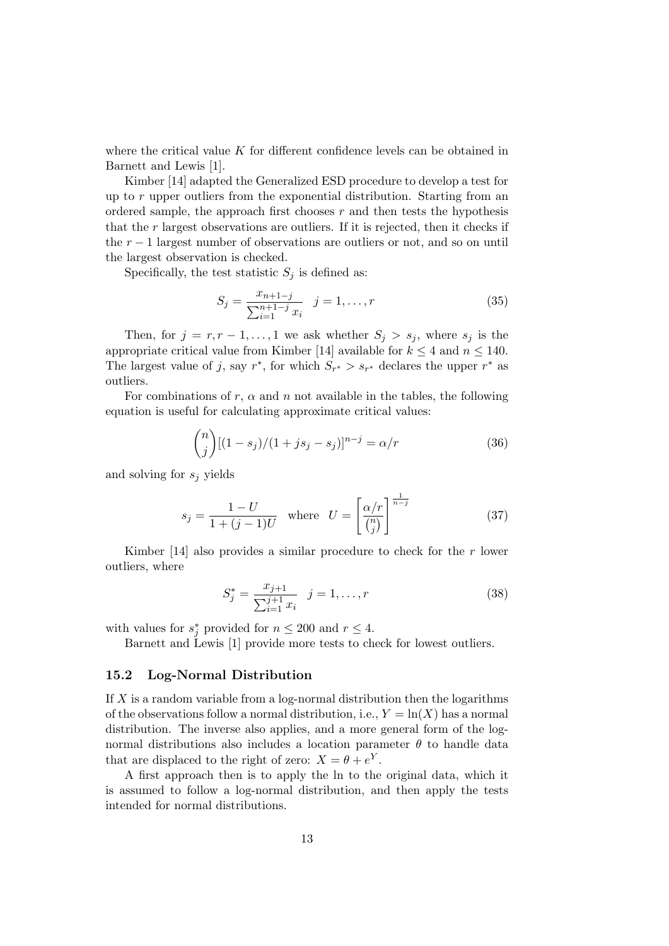where the critical value  $K$  for different confidence levels can be obtained in Barnett and Lewis [1].

Kimber [14] adapted the Generalized ESD procedure to develop a test for up to  $r$  upper outliers from the exponential distribution. Starting from an ordered sample, the approach first chooses  $r$  and then tests the hypothesis that the  $r$  largest observations are outliers. If it is rejected, then it checks if the  $r - 1$  largest number of observations are outliers or not, and so on until the largest observation is checked.

Specifically, the test statistic  $S_i$  is defined as:

$$
S_j = \frac{x_{n+1-j}}{\sum_{i=1}^{n+1-j} x_i} \quad j = 1, \dots, r \tag{35}
$$

Then, for  $j = r, r - 1, \ldots, 1$  we ask whether  $S_j > s_j$ , where  $s_j$  is the appropriate critical value from Kimber [14] available for  $k \leq 4$  and  $n \leq 140$ . The largest value of j, say  $r^*$ , for which  $S_{r^*} > s_{r^*}$  declares the upper  $r^*$  as outliers.

For combinations of r,  $\alpha$  and n not available in the tables, the following equation is useful for calculating approximate critical values:

$$
\binom{n}{j}[(1-s_j)/(1+js_j-s_j)]^{n-j} = \alpha/r \tag{36}
$$

and solving for  $s_i$  yields

$$
s_j = \frac{1 - U}{1 + (j - 1)U} \quad \text{where} \quad U = \left[\frac{\alpha/r}{\binom{n}{j}}\right]^{\frac{1}{n - j}} \tag{37}
$$

Kimber [14] also provides a similar procedure to check for the  $r$  lower outliers, where

$$
S_j^* = \frac{x_{j+1}}{\sum_{i=1}^{j+1} x_i} \quad j = 1, \dots, r
$$
 (38)

with values for  $s_j^*$  provided for  $n \leq 200$  and  $r \leq 4$ .

Barnett and Lewis [1] provide more tests to check for lowest outliers.

#### 15.2 Log-Normal Distribution

If  $X$  is a random variable from a log-normal distribution then the logarithms of the observations follow a normal distribution, i.e.,  $Y = \ln(X)$  has a normal distribution. The inverse also applies, and a more general form of the lognormal distributions also includes a location parameter  $\theta$  to handle data that are displaced to the right of zero:  $X = \theta + e^Y$ .

A first approach then is to apply the ln to the original data, which it is assumed to follow a log-normal distribution, and then apply the tests intended for normal distributions.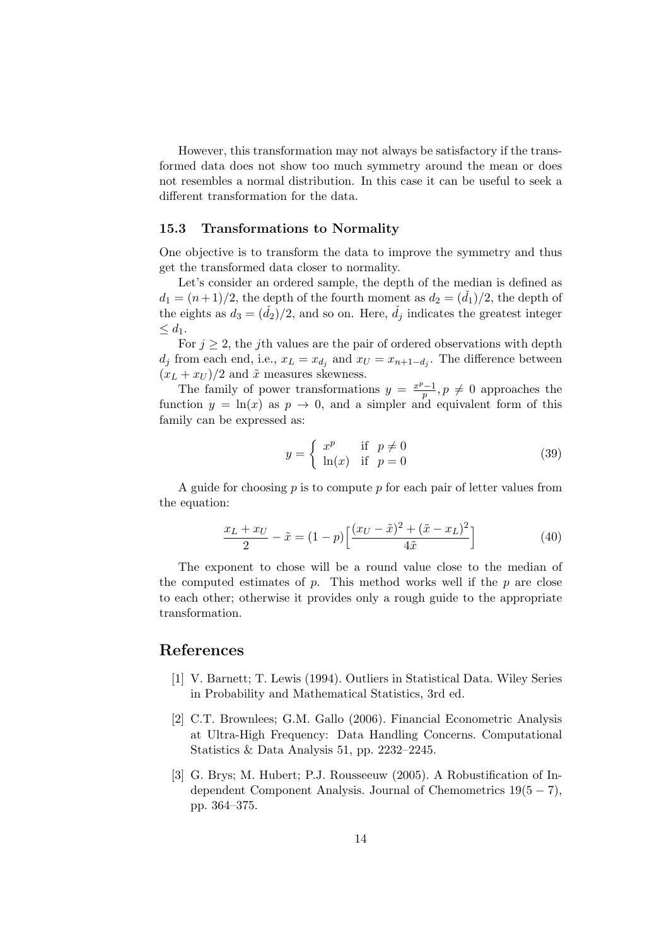However, this transformation may not always be satisfactory if the transformed data does not show too much symmetry around the mean or does not resembles a normal distribution. In this case it can be useful to seek a different transformation for the data.

#### 15.3 Transformations to Normality

One objective is to transform the data to improve the symmetry and thus get the transformed data closer to normality.

Let's consider an ordered sample, the depth of the median is defined as  $d_1 = (n+1)/2$ , the depth of the fourth moment as  $d_2 = (d_1)/2$ , the depth of the eights as  $d_3 = (\check{d}_2)/2$ , and so on. Here,  $\check{d}_i$  indicates the greatest integer  $\leq d_1$ .

For  $j \geq 2$ , the jth values are the pair of ordered observations with depth  $d_j$  from each end, i.e.,  $x_L = x_{d_j}$  and  $x_U = x_{n+1-d_j}$ . The difference between  $(x_L + x_U)/2$  and  $\tilde{x}$  measures skewness.

The family of power transformations  $y = \frac{x^p-1}{n}$  $\frac{p}{p}, p \neq 0$  approaches the function  $y = \ln(x)$  as  $p \to 0$ , and a simpler and equivalent form of this family can be expressed as:

$$
y = \begin{cases} x^p & \text{if } p \neq 0 \\ \ln(x) & \text{if } p = 0 \end{cases}
$$
 (39)

A guide for choosing  $p$  is to compute  $p$  for each pair of letter values from the equation:

$$
\frac{x_L + x_U}{2} - \tilde{x} = (1 - p) \left[ \frac{(x_U - \tilde{x})^2 + (\tilde{x} - x_L)^2}{4\tilde{x}} \right]
$$
(40)

The exponent to chose will be a round value close to the median of the computed estimates of  $p$ . This method works well if the  $p$  are close to each other; otherwise it provides only a rough guide to the appropriate transformation.

#### References

- [1] V. Barnett; T. Lewis (1994). Outliers in Statistical Data. Wiley Series in Probability and Mathematical Statistics, 3rd ed.
- [2] C.T. Brownlees; G.M. Gallo (2006). Financial Econometric Analysis at Ultra-High Frequency: Data Handling Concerns. Computational Statistics & Data Analysis 51, pp. 2232–2245.
- [3] G. Brys; M. Hubert; P.J. Rousseeuw (2005). A Robustification of Independent Component Analysis. Journal of Chemometrics  $19(5 - 7)$ , pp. 364–375.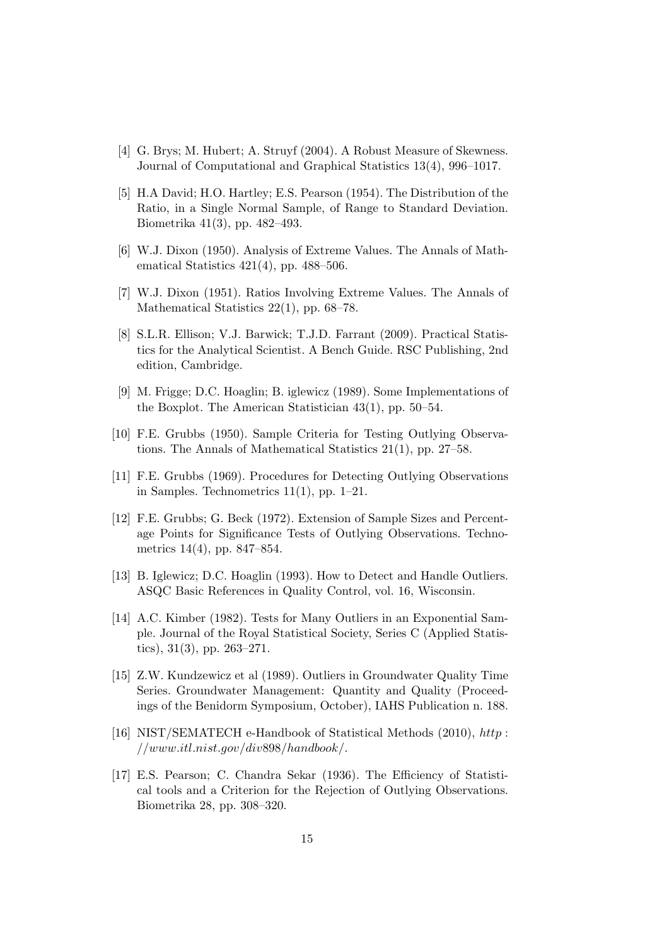- [4] G. Brys; M. Hubert; A. Struyf (2004). A Robust Measure of Skewness. Journal of Computational and Graphical Statistics 13(4), 996–1017.
- [5] H.A David; H.O. Hartley; E.S. Pearson (1954). The Distribution of the Ratio, in a Single Normal Sample, of Range to Standard Deviation. Biometrika 41(3), pp. 482–493.
- [6] W.J. Dixon (1950). Analysis of Extreme Values. The Annals of Mathematical Statistics 421(4), pp. 488–506.
- [7] W.J. Dixon (1951). Ratios Involving Extreme Values. The Annals of Mathematical Statistics 22(1), pp. 68–78.
- [8] S.L.R. Ellison; V.J. Barwick; T.J.D. Farrant (2009). Practical Statistics for the Analytical Scientist. A Bench Guide. RSC Publishing, 2nd edition, Cambridge.
- [9] M. Frigge; D.C. Hoaglin; B. iglewicz (1989). Some Implementations of the Boxplot. The American Statistician 43(1), pp. 50–54.
- [10] F.E. Grubbs (1950). Sample Criteria for Testing Outlying Observations. The Annals of Mathematical Statistics 21(1), pp. 27–58.
- [11] F.E. Grubbs (1969). Procedures for Detecting Outlying Observations in Samples. Technometrics  $11(1)$ , pp. 1–21.
- [12] F.E. Grubbs; G. Beck (1972). Extension of Sample Sizes and Percentage Points for Significance Tests of Outlying Observations. Technometrics 14(4), pp. 847–854.
- [13] B. Iglewicz; D.C. Hoaglin (1993). How to Detect and Handle Outliers. ASQC Basic References in Quality Control, vol. 16, Wisconsin.
- [14] A.C. Kimber (1982). Tests for Many Outliers in an Exponential Sample. Journal of the Royal Statistical Society, Series C (Applied Statistics), 31(3), pp. 263–271.
- [15] Z.W. Kundzewicz et al (1989). Outliers in Groundwater Quality Time Series. Groundwater Management: Quantity and Quality (Proceedings of the Benidorm Symposium, October), IAHS Publication n. 188.
- [16] NIST/SEMATECH e-Handbook of Statistical Methods (2010), http : //www.itl.nist.gov/div898/handbook/.
- [17] E.S. Pearson; C. Chandra Sekar (1936). The Efficiency of Statistical tools and a Criterion for the Rejection of Outlying Observations. Biometrika 28, pp. 308–320.